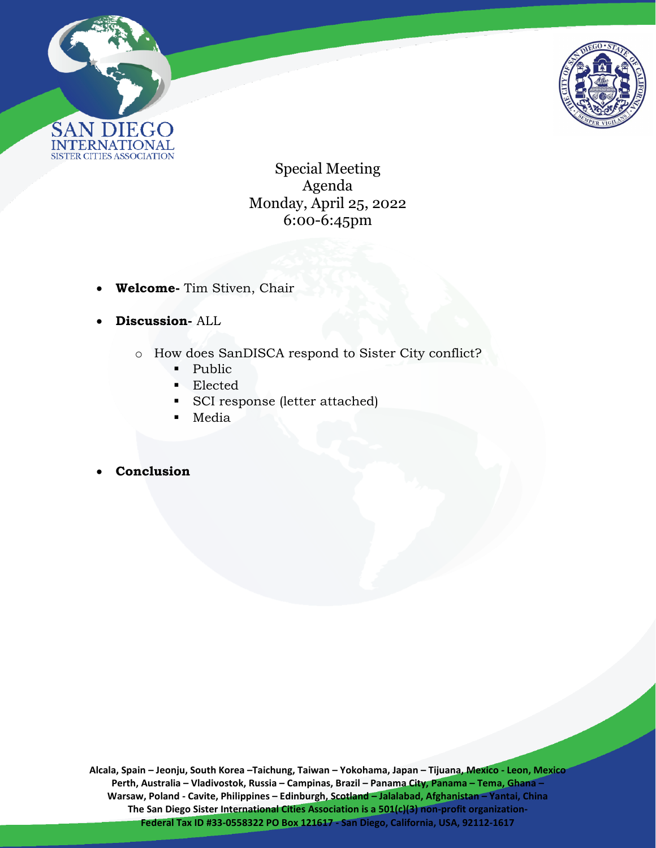



Special Meeting Agenda Monday, April 25, 2022 6:00-6:45pm

- **Welcome-** Tim Stiven, Chair
- **Discussion-** ALL
	- o How does SanDISCA respond to Sister City conflict?
		- Public
		- Elected
		- SCI response (letter attached)
		- Media
- **Conclusion**

**Alcala, Spain – Jeonju, South Korea –Taichung, Taiwan – Yokohama, Japan – Tijuana, Mexico - Leon, Mexico Perth, Australia – Vladivostok, Russia – Campinas, Brazil – Panama City, Panama – Tema, Ghana – Warsaw, Poland - Cavite, Philippines – Edinburgh, Scotland – Jalalabad, Afghanistan – Yantai, China** The San Diego Sister International Cities Association is a 501(c)(3) non-profit organization-**Federal Tax ID #33-0558322 PO Box 121617 - San Diego, California, USA, 92112-1617**